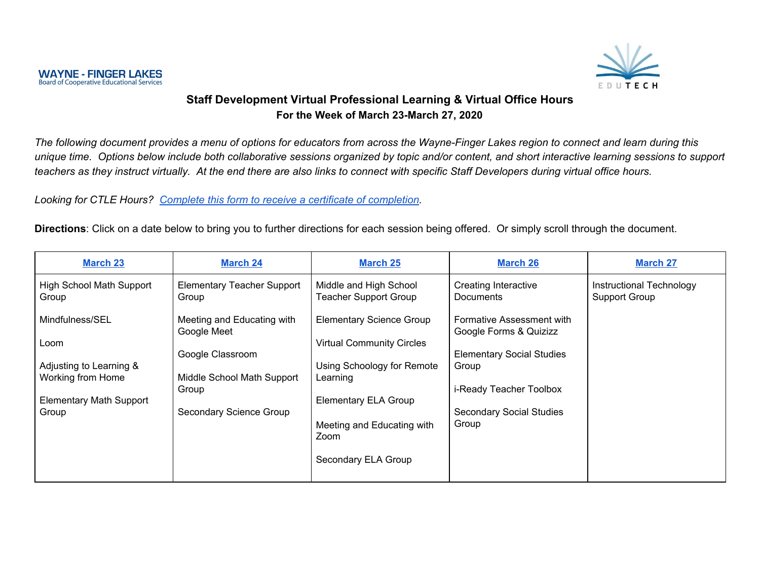

### **Staff Development Virtual Professional Learning & Virtual Office Hours For the Week of March 23-March 27, 2020**

The following document provides a menu of options for educators from across the Wayne-Finger Lakes region to connect and learn during this unique time. Options below include both collaborative sessions organized by topic and/or content, and short interactive learning sessions to support teachers as they instruct virtually. At the end there are also links to connect with specific Staff Developers during virtual office hours.

*Looking for CTLE Hours? Complete this form to receive a certificate of [completion](https://docs.google.com/forms/d/e/1FAIpQLSdNyi6cuj7PP48e5Ri1bDlqeXU4BKauHkRRHHBcm7P4E6fvMA/viewform?usp=sf_link).*

**Directions**: Click on a date below to bring you to further directions for each session being offered. Or simply scroll through the document.

| <b>March 23</b>                              | <b>March 24</b>                            | <b>March 25</b>                                                     | <b>March 26</b>                                     | <b>March 27</b>                           |
|----------------------------------------------|--------------------------------------------|---------------------------------------------------------------------|-----------------------------------------------------|-------------------------------------------|
| <b>High School Math Support</b><br>Group     | <b>Elementary Teacher Support</b><br>Group | Middle and High School<br><b>Teacher Support Group</b>              | <b>Creating Interactive</b><br><b>Documents</b>     | Instructional Technology<br>Support Group |
| Mindfulness/SEL<br>Loom                      | Meeting and Educating with<br>Google Meet  | <b>Elementary Science Group</b><br><b>Virtual Community Circles</b> | Formative Assessment with<br>Google Forms & Quizizz |                                           |
|                                              | Google Classroom                           |                                                                     | <b>Elementary Social Studies</b>                    |                                           |
| Adjusting to Learning &<br>Working from Home | Middle School Math Support                 | Using Schoology for Remote<br>Learning                              | Group                                               |                                           |
|                                              | Group                                      |                                                                     | i-Ready Teacher Toolbox                             |                                           |
| <b>Elementary Math Support</b>               |                                            | <b>Elementary ELA Group</b>                                         |                                                     |                                           |
| Group                                        | Secondary Science Group                    |                                                                     | <b>Secondary Social Studies</b>                     |                                           |
|                                              |                                            | Meeting and Educating with                                          | Group                                               |                                           |
|                                              |                                            | Zoom                                                                |                                                     |                                           |
|                                              |                                            | Secondary ELA Group                                                 |                                                     |                                           |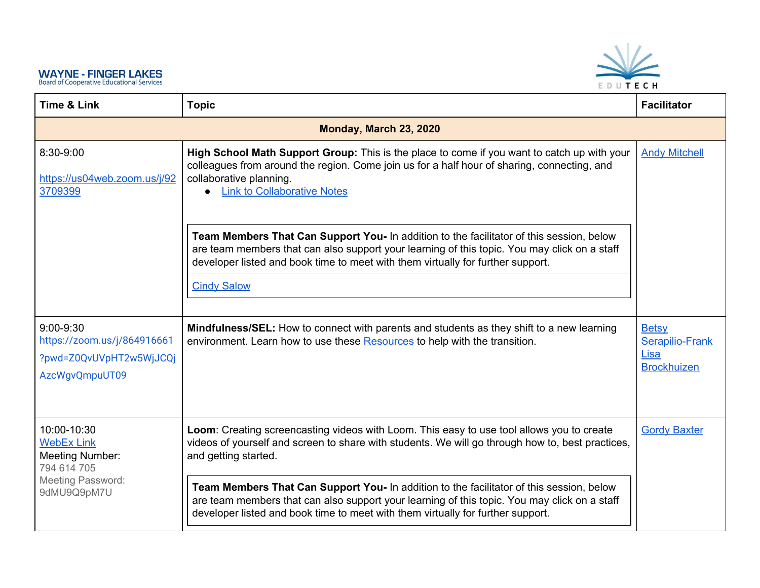<span id="page-1-0"></span>

| <b>Time &amp; Link</b>                                                                  | <b>Topic</b>                                                                                                                                                                                                                                                                | <b>Facilitator</b>                                            |
|-----------------------------------------------------------------------------------------|-----------------------------------------------------------------------------------------------------------------------------------------------------------------------------------------------------------------------------------------------------------------------------|---------------------------------------------------------------|
|                                                                                         | Monday, March 23, 2020                                                                                                                                                                                                                                                      |                                                               |
| 8:30-9:00<br>https://us04web.zoom.us/j/92<br>3709399                                    | High School Math Support Group: This is the place to come if you want to catch up with your<br>colleagues from around the region. Come join us for a half hour of sharing, connecting, and<br>collaborative planning.<br>• Link to Collaborative Notes                      | <b>Andy Mitchell</b>                                          |
|                                                                                         | Team Members That Can Support You- In addition to the facilitator of this session, below<br>are team members that can also support your learning of this topic. You may click on a staff<br>developer listed and book time to meet with them virtually for further support. |                                                               |
|                                                                                         | <b>Cindy Salow</b>                                                                                                                                                                                                                                                          |                                                               |
| $9:00-9:30$<br>https://zoom.us/j/864916661<br>?pwd=Z0QvUVpHT2w5WjJCQj<br>AzcWgvQmpuUT09 | <b>Mindfulness/SEL:</b> How to connect with parents and students as they shift to a new learning<br>environment. Learn how to use these Resources to help with the transition.                                                                                              | <b>Betsy</b><br>Serapilio-Frank<br>Lisa<br><b>Brockhuizen</b> |
| 10:00-10:30<br><b>WebEx Link</b><br><b>Meeting Number:</b><br>794 614 705               | Loom: Creating screencasting videos with Loom. This easy to use tool allows you to create<br>videos of yourself and screen to share with students. We will go through how to, best practices,<br>and getting started.                                                       | <b>Gordy Baxter</b>                                           |
| Meeting Password:<br>9dMU9Q9pM7U                                                        | Team Members That Can Support You- In addition to the facilitator of this session, below<br>are team members that can also support your learning of this topic. You may click on a staff<br>developer listed and book time to meet with them virtually for further support. |                                                               |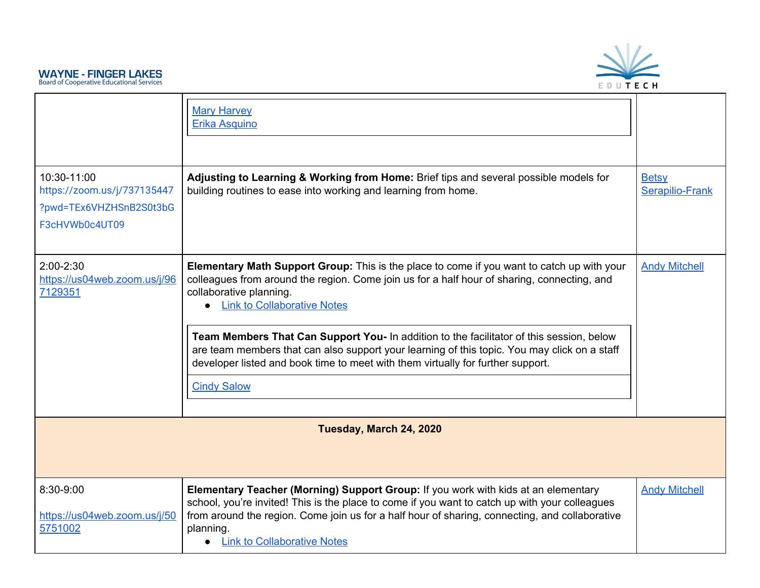

<span id="page-2-0"></span>

| 10:30-11:00<br>https://zoom.us/j/737135447<br>?pwd=TEx6VHZHSnB2S0t3bG<br>F3cHVWb0c4UT09 | <b>Mary Harvey</b><br>Erika Asquino<br>Adjusting to Learning & Working from Home: Brief tips and several possible models for<br>building routines to ease into working and learning from home.                                                                                                                                                                                                                                                                                                                                                                                     | <b>Betsy</b><br>Serapilio-Frank |
|-----------------------------------------------------------------------------------------|------------------------------------------------------------------------------------------------------------------------------------------------------------------------------------------------------------------------------------------------------------------------------------------------------------------------------------------------------------------------------------------------------------------------------------------------------------------------------------------------------------------------------------------------------------------------------------|---------------------------------|
| $2:00-2:30$<br>https://us04web.zoom.us/j/96<br>7129351                                  | Elementary Math Support Group: This is the place to come if you want to catch up with your<br><b>Andy Mitchell</b><br>colleagues from around the region. Come join us for a half hour of sharing, connecting, and<br>collaborative planning.<br>• Link to Collaborative Notes<br>Team Members That Can Support You- In addition to the facilitator of this session, below<br>are team members that can also support your learning of this topic. You may click on a staff<br>developer listed and book time to meet with them virtually for further support.<br><b>Cindy Salow</b> |                                 |
|                                                                                         | Tuesday, March 24, 2020                                                                                                                                                                                                                                                                                                                                                                                                                                                                                                                                                            |                                 |
| 8:30-9:00<br>https://us04web.zoom.us/j/50<br>5751002                                    | Elementary Teacher (Morning) Support Group: If you work with kids at an elementary<br>school, you're invited! This is the place to come if you want to catch up with your colleagues<br>from around the region. Come join us for a half hour of sharing, connecting, and collaborative<br>planning.<br><b>Link to Collaborative Notes</b><br>$\bullet$                                                                                                                                                                                                                             | <b>Andy Mitchell</b>            |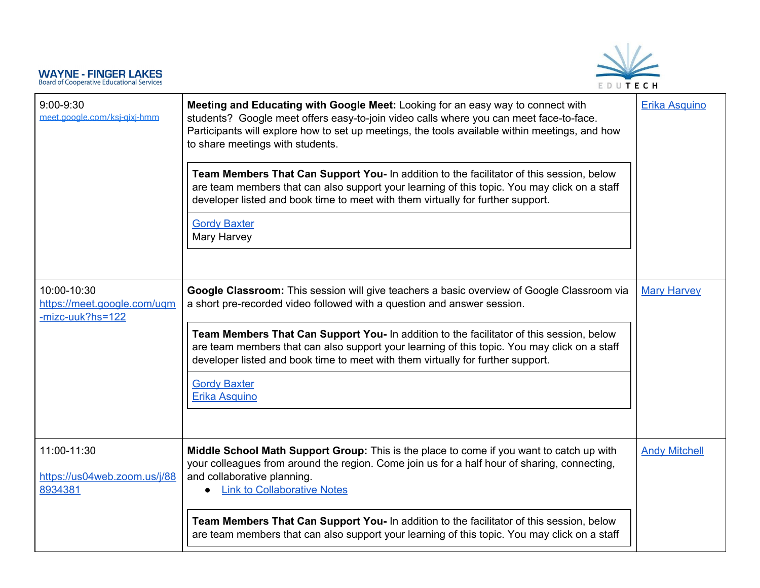|                                                                | EDUTECH                                                                                                                                                                                                                                                                                                                                                                                                                                                                                                                                                                                                                              |                      |
|----------------------------------------------------------------|--------------------------------------------------------------------------------------------------------------------------------------------------------------------------------------------------------------------------------------------------------------------------------------------------------------------------------------------------------------------------------------------------------------------------------------------------------------------------------------------------------------------------------------------------------------------------------------------------------------------------------------|----------------------|
| $9:00 - 9:30$<br>meet.google.com/ksj-gixj-hmm                  | Meeting and Educating with Google Meet: Looking for an easy way to connect with<br>students? Google meet offers easy-to-join video calls where you can meet face-to-face.<br>Participants will explore how to set up meetings, the tools available within meetings, and how<br>to share meetings with students.<br>Team Members That Can Support You- In addition to the facilitator of this session, below<br>are team members that can also support your learning of this topic. You may click on a staff<br>developer listed and book time to meet with them virtually for further support.<br><b>Gordy Baxter</b><br>Mary Harvey | Erika Asquino        |
| 10:00-10:30<br>https://meet.google.com/ugm<br>-mizc-uuk?hs=122 | Google Classroom: This session will give teachers a basic overview of Google Classroom via<br>a short pre-recorded video followed with a question and answer session.<br>Team Members That Can Support You- In addition to the facilitator of this session, below<br>are team members that can also support your learning of this topic. You may click on a staff<br>developer listed and book time to meet with them virtually for further support.<br><b>Gordy Baxter</b><br><b>Erika Asquino</b>                                                                                                                                  | <b>Mary Harvey</b>   |
| 11:00-11:30<br>https://us04web.zoom.us/j/88<br>8934381         | Middle School Math Support Group: This is the place to come if you want to catch up with<br>your colleagues from around the region. Come join us for a half hour of sharing, connecting,<br>and collaborative planning.<br><b>Link to Collaborative Notes</b><br>Team Members That Can Support You- In addition to the facilitator of this session, below<br>are team members that can also support your learning of this topic. You may click on a staff                                                                                                                                                                            | <b>Andy Mitchell</b> |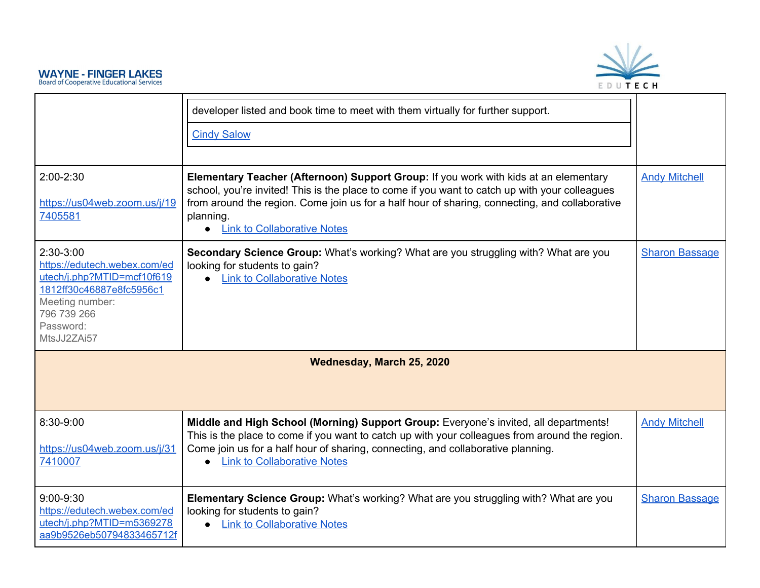

<span id="page-4-0"></span>

|                                                                                                                                                                   | developer listed and book time to meet with them virtually for further support.                                                                                                                                                                                                                                                             |                       |
|-------------------------------------------------------------------------------------------------------------------------------------------------------------------|---------------------------------------------------------------------------------------------------------------------------------------------------------------------------------------------------------------------------------------------------------------------------------------------------------------------------------------------|-----------------------|
|                                                                                                                                                                   | <b>Cindy Salow</b>                                                                                                                                                                                                                                                                                                                          |                       |
| 2:00-2:30<br>https://us04web.zoom.us/j/19<br>7405581                                                                                                              | Elementary Teacher (Afternoon) Support Group: If you work with kids at an elementary<br>school, you're invited! This is the place to come if you want to catch up with your colleagues<br>from around the region. Come join us for a half hour of sharing, connecting, and collaborative<br>planning.<br><b>Link to Collaborative Notes</b> | <b>Andy Mitchell</b>  |
| 2:30-3:00<br>https://edutech.webex.com/ed<br>utech/j.php?MTID=mcf10f619<br>1812ff30c46887e8fc5956c1<br>Meeting number:<br>796 739 266<br>Password:<br>MtsJJ2ZAi57 | Secondary Science Group: What's working? What are you struggling with? What are you<br>looking for students to gain?<br>• Link to Collaborative Notes                                                                                                                                                                                       | <b>Sharon Bassage</b> |
|                                                                                                                                                                   | Wednesday, March 25, 2020                                                                                                                                                                                                                                                                                                                   |                       |
| 8:30-9:00<br>https://us04web.zoom.us/j/31<br>7410007                                                                                                              | Middle and High School (Morning) Support Group: Everyone's invited, all departments!<br>This is the place to come if you want to catch up with your colleagues from around the region.<br>Come join us for a half hour of sharing, connecting, and collaborative planning.<br><b>Link to Collaborative Notes</b>                            | <b>Andy Mitchell</b>  |
| $9:00 - 9:30$<br>https://edutech.webex.com/ed<br>utech/j.php?MTID=m5369278<br>aa9b9526eb50794833465712f                                                           | Elementary Science Group: What's working? What are you struggling with? What are you<br>looking for students to gain?<br>• Link to Collaborative Notes                                                                                                                                                                                      | <b>Sharon Bassage</b> |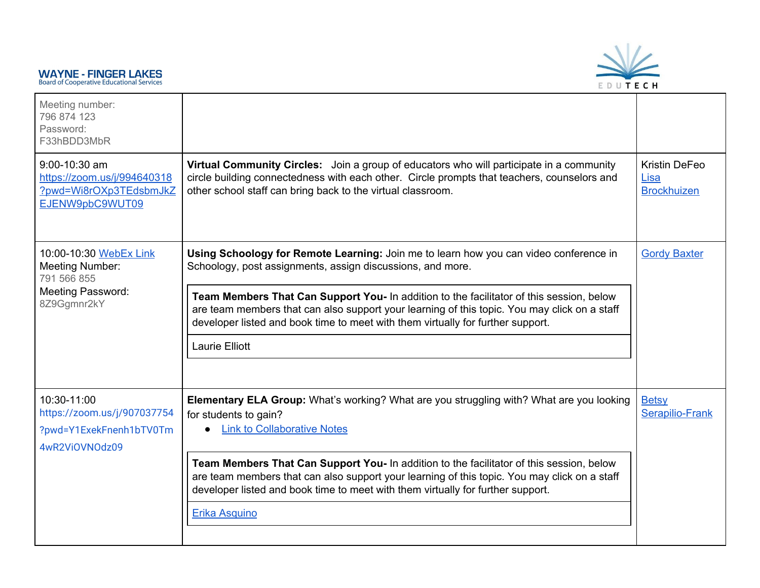

| Meeting number:<br>796 874 123<br>Password:<br>F33hBDD3MbR                                |                                                                                                                                                                                                                                                                             |                                             |  |
|-------------------------------------------------------------------------------------------|-----------------------------------------------------------------------------------------------------------------------------------------------------------------------------------------------------------------------------------------------------------------------------|---------------------------------------------|--|
| 9:00-10:30 am<br>https://zoom.us/j/994640318<br>?pwd=Wi8rOXp3TEdsbmJkZ<br>EJENW9pbC9WUT09 | Virtual Community Circles: Join a group of educators who will participate in a community<br>circle building connectedness with each other. Circle prompts that teachers, counselors and<br>other school staff can bring back to the virtual classroom.                      | Kristin DeFeo<br>Lisa<br><b>Brockhuizen</b> |  |
| 10:00-10:30 WebEx Link<br><b>Meeting Number:</b><br>791 566 855                           | Using Schoology for Remote Learning: Join me to learn how you can video conference in<br><b>Gordy Baxter</b><br>Schoology, post assignments, assign discussions, and more.                                                                                                  |                                             |  |
| <b>Meeting Password:</b><br>8Z9Ggmnr2kY                                                   | Team Members That Can Support You- In addition to the facilitator of this session, below<br>are team members that can also support your learning of this topic. You may click on a staff<br>developer listed and book time to meet with them virtually for further support. |                                             |  |
|                                                                                           | <b>Laurie Elliott</b>                                                                                                                                                                                                                                                       |                                             |  |
| 10:30-11:00<br>https://zoom.us/j/907037754<br>?pwd=Y1ExekFnenh1bTV0Tm<br>4wR2ViOVNOdz09   | <b>Elementary ELA Group:</b> What's working? What are you struggling with? What are you looking<br>for students to gain?<br><b>Link to Collaborative Notes</b>                                                                                                              | <b>Betsy</b><br>Serapilio-Frank             |  |
|                                                                                           | Team Members That Can Support You- In addition to the facilitator of this session, below<br>are team members that can also support your learning of this topic. You may click on a staff<br>developer listed and book time to meet with them virtually for further support. |                                             |  |
|                                                                                           | Erika Asquino                                                                                                                                                                                                                                                               |                                             |  |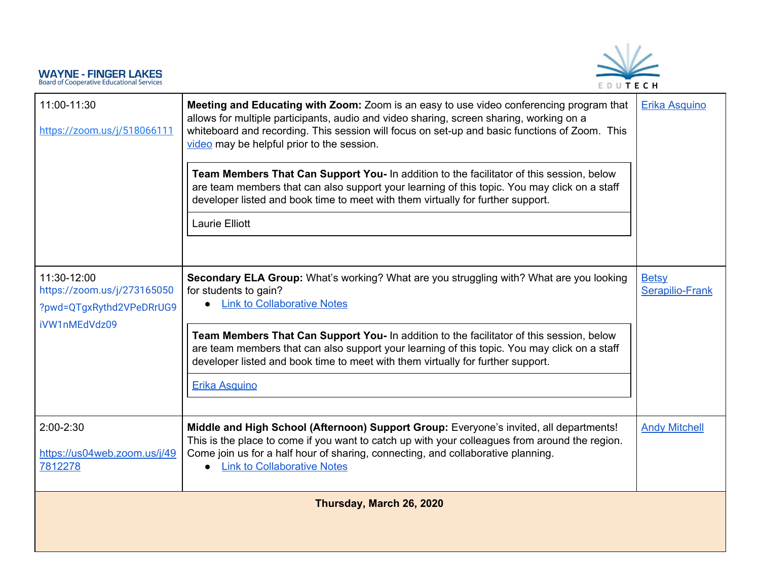

<span id="page-6-0"></span>

| 11:00-11:30<br>https://zoom.us/j/518066111                                              | Meeting and Educating with Zoom: Zoom is an easy to use video conferencing program that<br>allows for multiple participants, audio and video sharing, screen sharing, working on a<br>whiteboard and recording. This session will focus on set-up and basic functions of Zoom. This<br>video may be helpful prior to the session.<br>Team Members That Can Support You- In addition to the facilitator of this session, below<br>are team members that can also support your learning of this topic. You may click on a staff<br>developer listed and book time to meet with them virtually for further support.<br>Laurie Elliott | Erika Asquino                          |
|-----------------------------------------------------------------------------------------|------------------------------------------------------------------------------------------------------------------------------------------------------------------------------------------------------------------------------------------------------------------------------------------------------------------------------------------------------------------------------------------------------------------------------------------------------------------------------------------------------------------------------------------------------------------------------------------------------------------------------------|----------------------------------------|
| 11:30-12:00<br>https://zoom.us/j/273165050<br>?pwd=QTgxRythd2VPeDRrUG9<br>iVW1nMEdVdz09 | Secondary ELA Group: What's working? What are you struggling with? What are you looking<br>for students to gain?<br><b>Link to Collaborative Notes</b><br>Team Members That Can Support You- In addition to the facilitator of this session, below<br>are team members that can also support your learning of this topic. You may click on a staff<br>developer listed and book time to meet with them virtually for further support.<br>Erika Asquino                                                                                                                                                                             | <b>Betsy</b><br><b>Serapilio-Frank</b> |
| $2:00-2:30$<br>https://us04web.zoom.us/j/49<br>7812278                                  | Middle and High School (Afternoon) Support Group: Everyone's invited, all departments!<br>This is the place to come if you want to catch up with your colleagues from around the region.<br>Come join us for a half hour of sharing, connecting, and collaborative planning.<br><b>Link to Collaborative Notes</b>                                                                                                                                                                                                                                                                                                                 | <b>Andy Mitchell</b>                   |
|                                                                                         | Thursday, March 26, 2020                                                                                                                                                                                                                                                                                                                                                                                                                                                                                                                                                                                                           |                                        |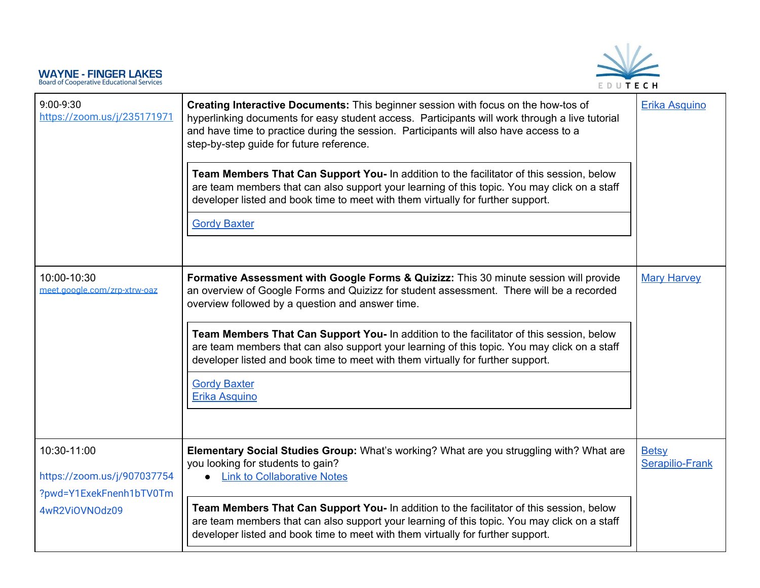

| 9:00-9:30<br>https://zoom.us/j/235171971                                                | Creating Interactive Documents: This beginner session with focus on the how-tos of<br>hyperlinking documents for easy student access. Participants will work through a live tutorial<br>and have time to practice during the session. Participants will also have access to a<br>step-by-step guide for future reference.<br>Team Members That Can Support You- In addition to the facilitator of this session, below<br>are team members that can also support your learning of this topic. You may click on a staff<br>developer listed and book time to meet with them virtually for further support.<br><b>Gordy Baxter</b> | <b>Erika Asquino</b>            |
|-----------------------------------------------------------------------------------------|---------------------------------------------------------------------------------------------------------------------------------------------------------------------------------------------------------------------------------------------------------------------------------------------------------------------------------------------------------------------------------------------------------------------------------------------------------------------------------------------------------------------------------------------------------------------------------------------------------------------------------|---------------------------------|
| 10:00-10:30<br>meet.google.com/zrp-xtrw-oaz                                             | Formative Assessment with Google Forms & Quizizz: This 30 minute session will provide<br>an overview of Google Forms and Quizizz for student assessment. There will be a recorded<br>overview followed by a question and answer time.<br>Team Members That Can Support You- In addition to the facilitator of this session, below<br>are team members that can also support your learning of this topic. You may click on a staff<br>developer listed and book time to meet with them virtually for further support.<br><b>Gordy Baxter</b><br><b>Erika Asquino</b>                                                             | <b>Mary Harvey</b>              |
| 10:30-11:00<br>https://zoom.us/j/907037754<br>?pwd=Y1ExekFnenh1bTV0Tm<br>4wR2ViOVNOdz09 | Elementary Social Studies Group: What's working? What are you struggling with? What are<br>you looking for students to gain?<br><b>Link to Collaborative Notes</b><br>Team Members That Can Support You- In addition to the facilitator of this session, below<br>are team members that can also support your learning of this topic. You may click on a staff<br>developer listed and book time to meet with them virtually for further support.                                                                                                                                                                               | <b>Betsy</b><br>Serapilio-Frank |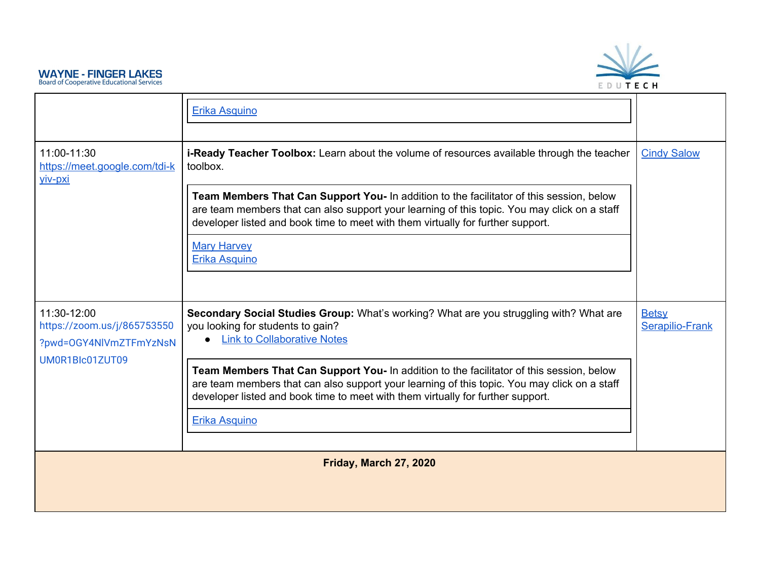

<span id="page-8-0"></span>

|                                                                      | <b>Erika Asquino</b>                                                                                                                                                                                                                                                        |                                        |
|----------------------------------------------------------------------|-----------------------------------------------------------------------------------------------------------------------------------------------------------------------------------------------------------------------------------------------------------------------------|----------------------------------------|
| 11:00-11:30<br>https://meet.google.com/tdi-k<br>viv-pxi              | <b>i-Ready Teacher Toolbox:</b> Learn about the volume of resources available through the teacher<br>toolbox.                                                                                                                                                               | <b>Cindy Salow</b>                     |
|                                                                      | Team Members That Can Support You- In addition to the facilitator of this session, below<br>are team members that can also support your learning of this topic. You may click on a staff<br>developer listed and book time to meet with them virtually for further support. |                                        |
|                                                                      | <b>Mary Harvey</b><br>Erika Asquino                                                                                                                                                                                                                                         |                                        |
|                                                                      |                                                                                                                                                                                                                                                                             |                                        |
| 11:30-12:00<br>https://zoom.us/j/865753550<br>?pwd=OGY4NlVmZTFmYzNsN | Secondary Social Studies Group: What's working? What are you struggling with? What are<br>you looking for students to gain?<br><b>Link to Collaborative Notes</b>                                                                                                           | <b>Betsy</b><br><b>Serapilio-Frank</b> |
| UM0R1Blc01ZUT09                                                      | Team Members That Can Support You- In addition to the facilitator of this session, below<br>are team members that can also support your learning of this topic. You may click on a staff<br>developer listed and book time to meet with them virtually for further support. |                                        |
|                                                                      | Erika Asquino                                                                                                                                                                                                                                                               |                                        |
|                                                                      | Friday, March 27, 2020                                                                                                                                                                                                                                                      |                                        |
|                                                                      |                                                                                                                                                                                                                                                                             |                                        |
|                                                                      |                                                                                                                                                                                                                                                                             |                                        |
|                                                                      |                                                                                                                                                                                                                                                                             |                                        |